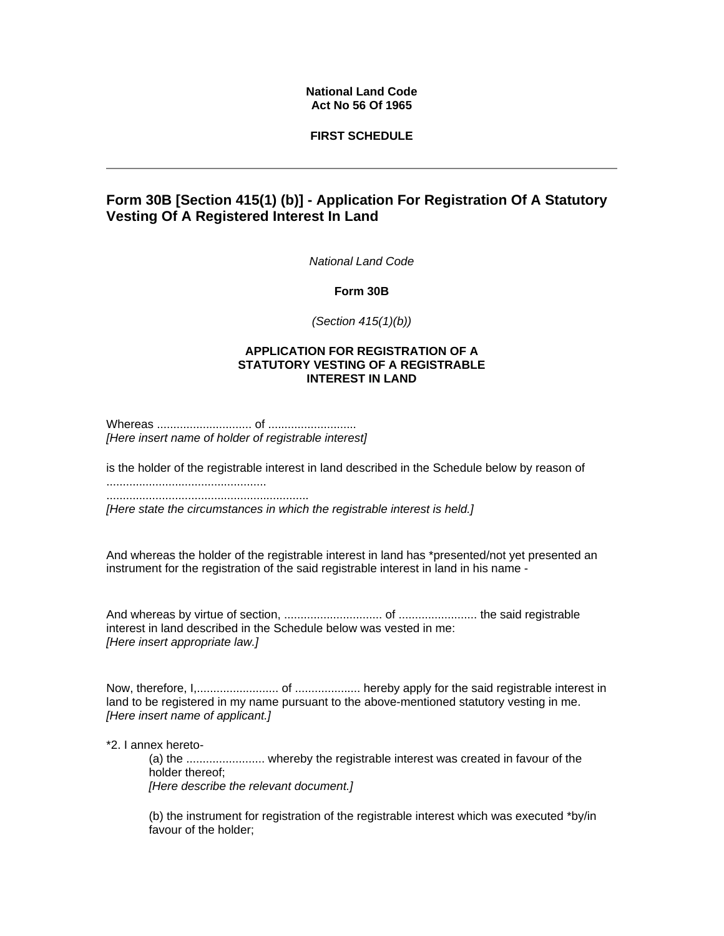## **National Land Code Act No 56 Of 1965**

## **FIRST SCHEDULE**

# **Form 30B [Section 415(1) (b)] - Application For Registration Of A Statutory Vesting Of A Registered Interest In Land**

*National Land Code* 

**Form 30B** 

*(Section 415(1)(b))*

#### **APPLICATION FOR REGISTRATION OF A STATUTORY VESTING OF A REGISTRABLE INTEREST IN LAND**

Whereas ............................. of ........................... *[Here insert name of holder of registrable interest]*

is the holder of the registrable interest in land described in the Schedule below by reason of

.................................................

..............................................................

*[Here state the circumstances in which the registrable interest is held.]*

And whereas the holder of the registrable interest in land has \*presented/not yet presented an instrument for the registration of the said registrable interest in land in his name -

And whereas by virtue of section, .............................. of ........................ the said registrable interest in land described in the Schedule below was vested in me: *[Here insert appropriate law.]*

Now, therefore, I,......................... of .................... hereby apply for the said registrable interest in land to be registered in my name pursuant to the above-mentioned statutory vesting in me. *[Here insert name of applicant.]*

\*2. I annex hereto-

(a) the ........................ whereby the registrable interest was created in favour of the holder thereof; *[Here describe the relevant document.]*

(b) the instrument for registration of the registrable interest which was executed \*by/in favour of the holder;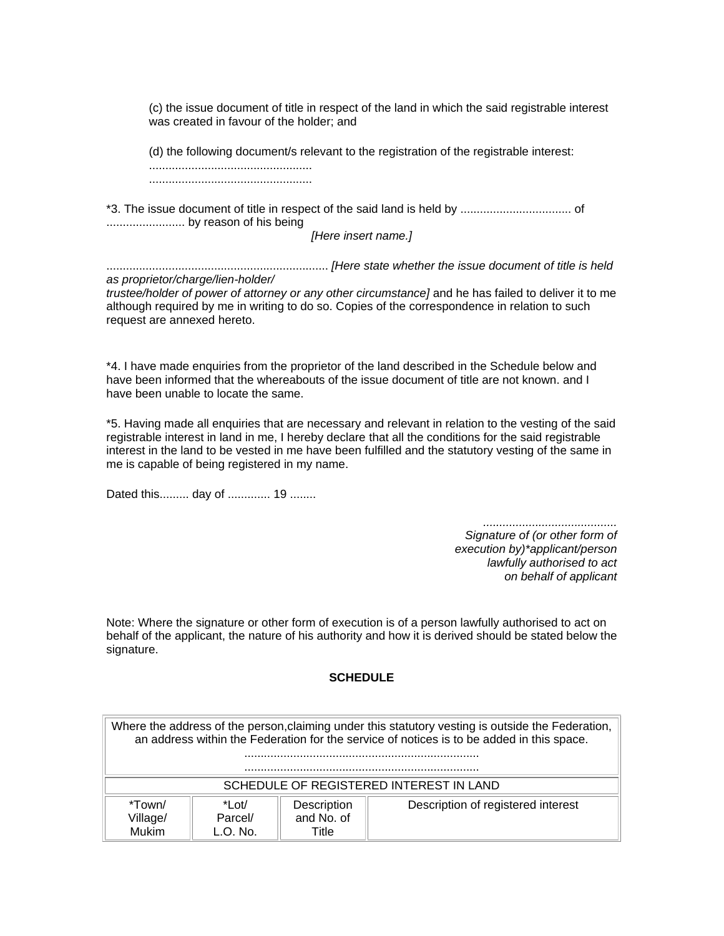(c) the issue document of title in respect of the land in which the said registrable interest was created in favour of the holder; and

(d) the following document/s relevant to the registration of the registrable interest: .................................................. ..................................................

\*3. The issue document of title in respect of the said land is held by .................................. of ........................ by reason of his being

*[Here insert name.]*

.................................................................... *[Here state whether the issue document of title is held as proprietor/charge/lien-holder/*

*trustee/holder of power of attorney or any other circumstance]* and he has failed to deliver it to me although required by me in writing to do so. Copies of the correspondence in relation to such request are annexed hereto.

\*4. I have made enquiries from the proprietor of the land described in the Schedule below and have been informed that the whereabouts of the issue document of title are not known. and I have been unable to locate the same.

\*5. Having made all enquiries that are necessary and relevant in relation to the vesting of the said registrable interest in land in me, I hereby declare that all the conditions for the said registrable interest in the land to be vested in me have been fulfilled and the statutory vesting of the same in me is capable of being registered in my name.

Dated this......... day of ............. 19 ........

*......................................... Signature of (or other form of execution by)\*applicant/person lawfully authorised to act on behalf of applicant*

Note: Where the signature or other form of execution is of a person lawfully authorised to act on behalf of the applicant, the nature of his authority and how it is derived should be stated below the signature.

#### **SCHEDULE**

Where the address of the person,claiming under this statutory vesting is outside the Federation, an address within the Federation for the service of notices is to be added in this space. ........................................................................ ........................................................................ SCHEDULE OF REGISTERED INTEREST IN LAND \*Town/ Village/ Mukim \*Lot/ Parcel/ L.O. No. **Description** and No. of **Title** Description of registered interest